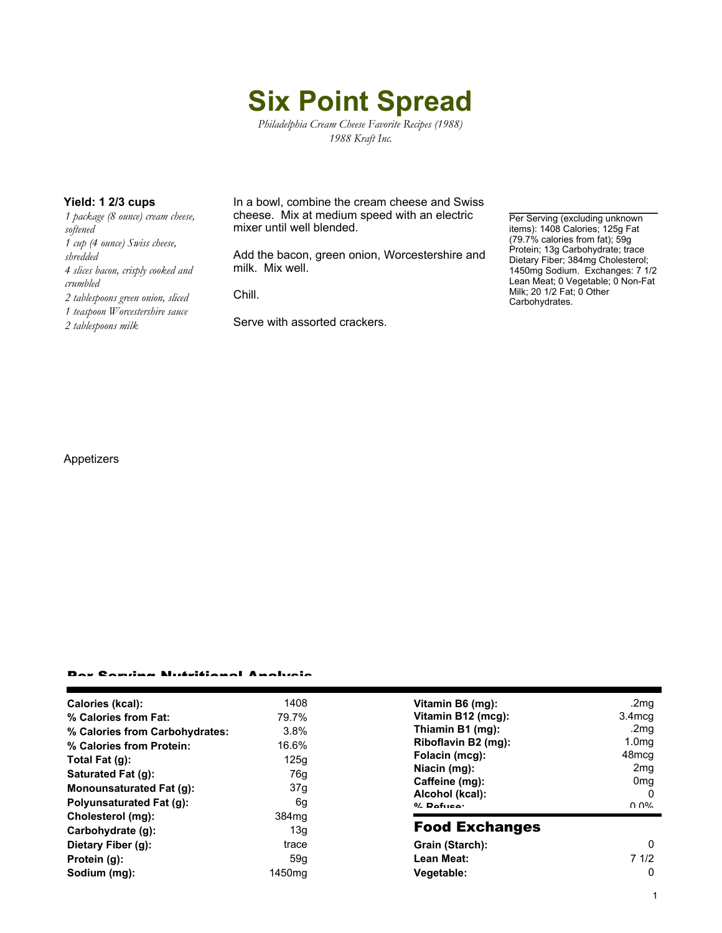# **Six Point Spread**

*Philadelphia Cream Cheese Favorite Recipes (1988) 1988 Kraft Inc.*

*1 package (8 ounce) cream cheese, softened 1 cup (4 ounce) Swiss cheese, shredded 4 slices bacon, crisply cooked and crumbled 2 tablespoons green onion, sliced 1 teaspoon Worcestershire sauce 2 tablespoons milk*

**Yield: 1 2/3 cups** In a bowl, combine the cream cheese and Swiss cheese. Mix at medium speed with an electric mixer until well blended.

> Add the bacon, green onion, Worcestershire and milk. Mix well.

Chill.

Serve with assorted crackers.

Per Serving (excluding unknown items): 1408 Calories; 125g Fat (79.7% calories from fat); 59g Protein; 13g Carbohydrate; trace Dietary Fiber; 384mg Cholesterol; 1450mg Sodium. Exchanges: 7 1/2 Lean Meat; 0 Vegetable; 0 Non-Fat Milk; 20 1/2 Fat; 0 Other Carbohydrates.

### Appetizers

#### Per Serving Nutritional Analysis

| Calories (kcal):               | 1408               | Vitamin B6 (mg):                  | .2mg               |
|--------------------------------|--------------------|-----------------------------------|--------------------|
| % Calories from Fat:           | 79.7%              | Vitamin B12 (mcg):                | 3.4 <sub>mcq</sub> |
| % Calories from Carbohydrates: | 3.8%               | Thiamin B1 (mg):                  | .2mg               |
| % Calories from Protein:       | 16.6%              | Riboflavin B2 (mg):               | 1.0 <sub>mg</sub>  |
| Total Fat (g):                 | 125q               | Folacin (mcg):                    | 48mcg              |
| Saturated Fat (g):             | 76g                | Niacin (mg):                      | 2 <sub>mq</sub>    |
| Monounsaturated Fat (g):       | 37g                | Caffeine (mg):<br>Alcohol (kcal): | 0 <sub>mq</sub>    |
|                                |                    |                                   | O                  |
| Polyunsaturated Fat (g):       | 6g                 | $0/2$ Pofileo:                    | በ በ%               |
| Cholesterol (mg):              | 384 <sub>mq</sub>  | <b>Food Exchanges</b>             |                    |
| Carbohydrate (g):              | 13g                |                                   |                    |
| Dietary Fiber (g):             | trace              | Grain (Starch):                   | 0                  |
| Protein (g):                   | 59a                | Lean Meat:                        | 71/2               |
| Sodium (mg):                   | 1450 <sub>mg</sub> | Vegetable:                        | 0                  |